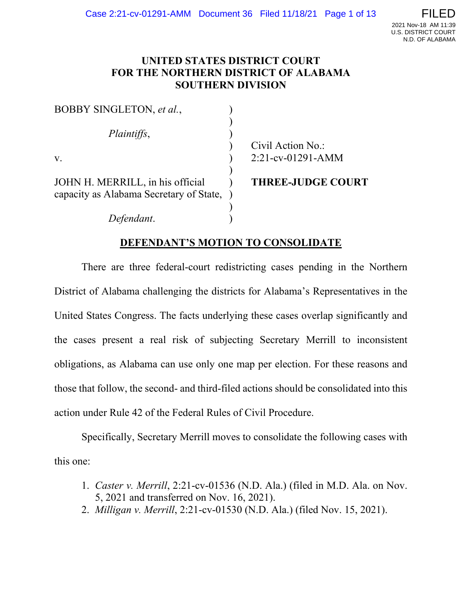## **UNITED STATES DISTRICT COURT FOR THE NORTHERN DISTRICT OF ALABAMA SOUTHERN DIVISION**

| BOBBY SINGLETON, et al.,                                                      |                          |
|-------------------------------------------------------------------------------|--------------------------|
| Plaintiffs,                                                                   |                          |
|                                                                               | Civil Action No.:        |
| $V_{\rm r}$                                                                   | $2:21$ -cv-01291-AMM     |
| JOHN H. MERRILL, in his official<br>capacity as Alabama Secretary of State, ) | <b>THREE-JUDGE COURT</b> |
| dant.                                                                         |                          |

# **DEFENDANT'S MOTION TO CONSOLIDATE**

There are three federal-court redistricting cases pending in the Northern District of Alabama challenging the districts for Alabama's Representatives in the United States Congress. The facts underlying these cases overlap significantly and the cases present a real risk of subjecting Secretary Merrill to inconsistent obligations, as Alabama can use only one map per election. For these reasons and those that follow, the second- and third-filed actions should be consolidated into this action under Rule 42 of the Federal Rules of Civil Procedure.

Specifically, Secretary Merrill moves to consolidate the following cases with this one:

- 1. *Caster v. Merrill*, 2:21-cv-01536 (N.D. Ala.) (filed in M.D. Ala. on Nov. 5, 2021 and transferred on Nov. 16, 2021).
- 2. *Milligan v. Merrill*, 2:21-cv-01530 (N.D. Ala.) (filed Nov. 15, 2021).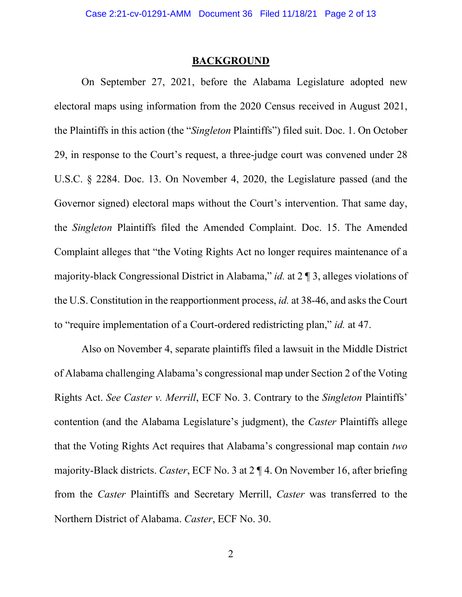### **BACKGROUND**

On September 27, 2021, before the Alabama Legislature adopted new electoral maps using information from the 2020 Census received in August 2021, the Plaintiffs in this action (the "*Singleton* Plaintiffs") filed suit. Doc. 1. On October 29, in response to the Court's request, a three-judge court was convened under 28 U.S.C. § 2284. Doc. 13. On November 4, 2020, the Legislature passed (and the Governor signed) electoral maps without the Court's intervention. That same day, the *Singleton* Plaintiffs filed the Amended Complaint. Doc. 15. The Amended Complaint alleges that "the Voting Rights Act no longer requires maintenance of a majority-black Congressional District in Alabama," *id.* at 2 ¶ 3, alleges violations of the U.S. Constitution in the reapportionment process, *id.* at 38-46, and asks the Court to "require implementation of a Court-ordered redistricting plan," *id.* at 47.

Also on November 4, separate plaintiffs filed a lawsuit in the Middle District of Alabama challenging Alabama's congressional map under Section 2 of the Voting Rights Act. *See Caster v. Merrill*, ECF No. 3. Contrary to the *Singleton* Plaintiffs' contention (and the Alabama Legislature's judgment), the *Caster* Plaintiffs allege that the Voting Rights Act requires that Alabama's congressional map contain *two* majority-Black districts. *Caster*, ECF No. 3 at 2 ¶ 4. On November 16, after briefing from the *Caster* Plaintiffs and Secretary Merrill, *Caster* was transferred to the Northern District of Alabama. *Caster*, ECF No. 30.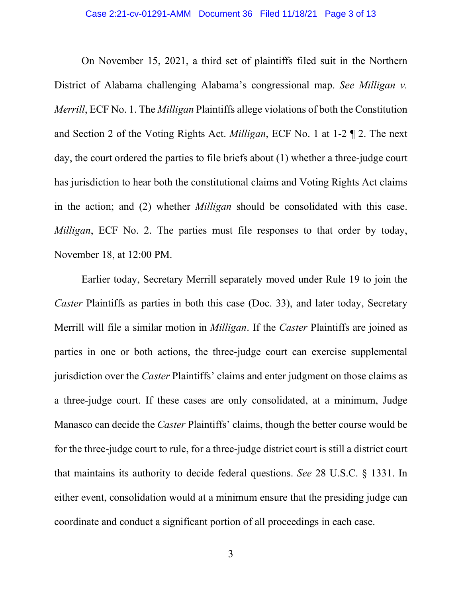On November 15, 2021, a third set of plaintiffs filed suit in the Northern District of Alabama challenging Alabama's congressional map. *See Milligan v. Merrill*, ECF No. 1. The *Milligan* Plaintiffs allege violations of both the Constitution and Section 2 of the Voting Rights Act. *Milligan*, ECF No. 1 at 1-2 ¶ 2. The next day, the court ordered the parties to file briefs about (1) whether a three-judge court has jurisdiction to hear both the constitutional claims and Voting Rights Act claims in the action; and (2) whether *Milligan* should be consolidated with this case. *Milligan*, ECF No. 2. The parties must file responses to that order by today, November 18, at 12:00 PM.

Earlier today, Secretary Merrill separately moved under Rule 19 to join the *Caster* Plaintiffs as parties in both this case (Doc. 33), and later today, Secretary Merrill will file a similar motion in *Milligan*. If the *Caster* Plaintiffs are joined as parties in one or both actions, the three-judge court can exercise supplemental jurisdiction over the *Caster* Plaintiffs' claims and enter judgment on those claims as a three-judge court. If these cases are only consolidated, at a minimum, Judge Manasco can decide the *Caster* Plaintiffs' claims, though the better course would be for the three-judge court to rule, for a three-judge district court is still a district court that maintains its authority to decide federal questions. *See* 28 U.S.C. § 1331. In either event, consolidation would at a minimum ensure that the presiding judge can coordinate and conduct a significant portion of all proceedings in each case.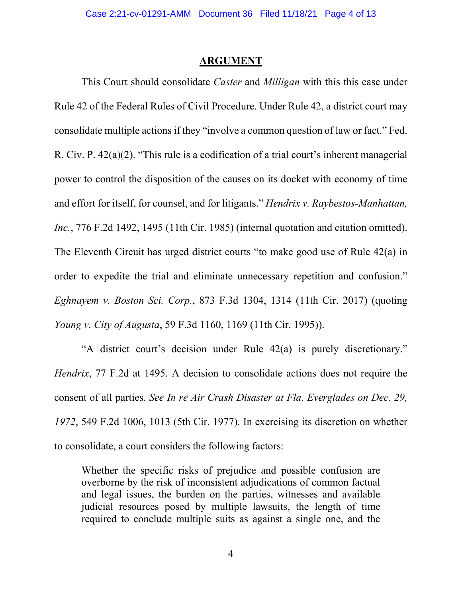### **ARGUMENT**

This Court should consolidate *Caster* and *Milligan* with this this case under Rule 42 of the Federal Rules of Civil Procedure. Under Rule 42, a district court may consolidate multiple actions if they "involve a common question of law or fact." Fed. R. Civ. P. 42(a)(2). "This rule is a codification of a trial court's inherent managerial power to control the disposition of the causes on its docket with economy of time and effort for itself, for counsel, and for litigants." *Hendrix v. Raybestos-Manhattan, Inc.*, 776 F.2d 1492, 1495 (11th Cir. 1985) (internal quotation and citation omitted). The Eleventh Circuit has urged district courts "to make good use of Rule 42(a) in order to expedite the trial and eliminate unnecessary repetition and confusion." *Eghnayem v. Boston Sci. Corp.*, 873 F.3d 1304, 1314 (11th Cir. 2017) (quoting *Young v. City of Augusta*, 59 F.3d 1160, 1169 (11th Cir. 1995)).

"A district court's decision under Rule 42(a) is purely discretionary." *Hendrix*, 77 F.2d at 1495. A decision to consolidate actions does not require the consent of all parties. *See In re Air Crash Disaster at Fla. Everglades on Dec. 29, 1972*, 549 F.2d 1006, 1013 (5th Cir. 1977). In exercising its discretion on whether to consolidate, a court considers the following factors:

Whether the specific risks of prejudice and possible confusion are overborne by the risk of inconsistent adjudications of common factual and legal issues, the burden on the parties, witnesses and available judicial resources posed by multiple lawsuits, the length of time required to conclude multiple suits as against a single one, and the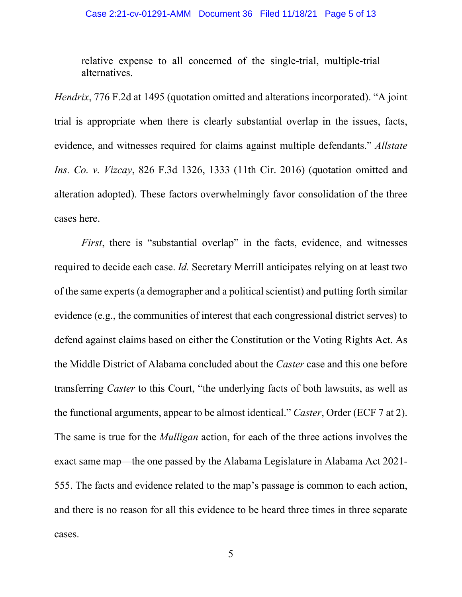relative expense to all concerned of the single-trial, multiple-trial alternatives.

*Hendrix*, 776 F.2d at 1495 (quotation omitted and alterations incorporated). "A joint trial is appropriate when there is clearly substantial overlap in the issues, facts, evidence, and witnesses required for claims against multiple defendants." *Allstate Ins. Co. v. Vizcay*, 826 F.3d 1326, 1333 (11th Cir. 2016) (quotation omitted and alteration adopted). These factors overwhelmingly favor consolidation of the three cases here.

*First*, there is "substantial overlap" in the facts, evidence, and witnesses required to decide each case. *Id.* Secretary Merrill anticipates relying on at least two of the same experts (a demographer and a political scientist) and putting forth similar evidence (e.g., the communities of interest that each congressional district serves) to defend against claims based on either the Constitution or the Voting Rights Act. As the Middle District of Alabama concluded about the *Caster* case and this one before transferring *Caster* to this Court, "the underlying facts of both lawsuits, as well as the functional arguments, appear to be almost identical." *Caster*, Order (ECF 7 at 2). The same is true for the *Mulligan* action, for each of the three actions involves the exact same map—the one passed by the Alabama Legislature in Alabama Act 2021- 555. The facts and evidence related to the map's passage is common to each action, and there is no reason for all this evidence to be heard three times in three separate cases.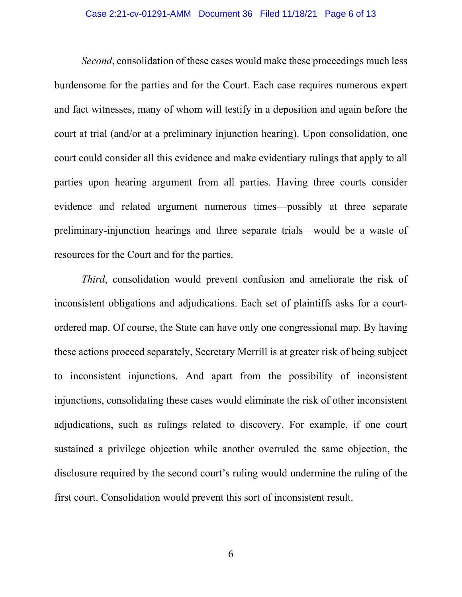#### Case 2:21-cv-01291-AMM Document 36 Filed 11/18/21 Page 6 of 13

*Second*, consolidation of these cases would make these proceedings much less burdensome for the parties and for the Court. Each case requires numerous expert and fact witnesses, many of whom will testify in a deposition and again before the court at trial (and/or at a preliminary injunction hearing). Upon consolidation, one court could consider all this evidence and make evidentiary rulings that apply to all parties upon hearing argument from all parties. Having three courts consider evidence and related argument numerous times—possibly at three separate preliminary-injunction hearings and three separate trials—would be a waste of resources for the Court and for the parties.

*Third*, consolidation would prevent confusion and ameliorate the risk of inconsistent obligations and adjudications. Each set of plaintiffs asks for a courtordered map. Of course, the State can have only one congressional map. By having these actions proceed separately, Secretary Merrill is at greater risk of being subject to inconsistent injunctions. And apart from the possibility of inconsistent injunctions, consolidating these cases would eliminate the risk of other inconsistent adjudications, such as rulings related to discovery. For example, if one court sustained a privilege objection while another overruled the same objection, the disclosure required by the second court's ruling would undermine the ruling of the first court. Consolidation would prevent this sort of inconsistent result.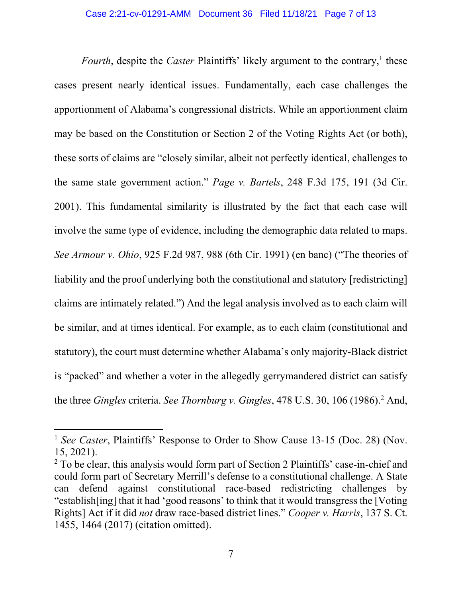*Fourth*, despite the *Caster* Plaintiffs' likely argument to the contrary,<sup>1</sup> these cases present nearly identical issues. Fundamentally, each case challenges the apportionment of Alabama's congressional districts. While an apportionment claim may be based on the Constitution or Section 2 of the Voting Rights Act (or both), these sorts of claims are "closely similar, albeit not perfectly identical, challenges to the same state government action." *Page v. Bartels*, 248 F.3d 175, 191 (3d Cir. 2001). This fundamental similarity is illustrated by the fact that each case will involve the same type of evidence, including the demographic data related to maps. *See Armour v. Ohio*, 925 F.2d 987, 988 (6th Cir. 1991) (en banc) ("The theories of liability and the proof underlying both the constitutional and statutory [redistricting] claims are intimately related.") And the legal analysis involved as to each claim will be similar, and at times identical. For example, as to each claim (constitutional and statutory), the court must determine whether Alabama's only majority-Black district is "packed" and whether a voter in the allegedly gerrymandered district can satisfy the three *Gingles* criteria. *See Thornburg v. Gingles*, 478 U.S. 30, 106 (1986).<sup>2</sup> And,

<sup>&</sup>lt;sup>1</sup> *See Caster*, Plaintiffs' Response to Order to Show Cause 13-15 (Doc. 28) (Nov. 15, 2021).

<sup>&</sup>lt;sup>2</sup> To be clear, this analysis would form part of Section 2 Plaintiffs' case-in-chief and could form part of Secretary Merrill's defense to a constitutional challenge. A State can defend against constitutional race-based redistricting challenges by "establish[ing] that it had 'good reasons' to think that it would transgress the [Voting Rights] Act if it did *not* draw race-based district lines." *Cooper v. Harris*, 137 S. Ct. 1455, 1464 (2017) (citation omitted).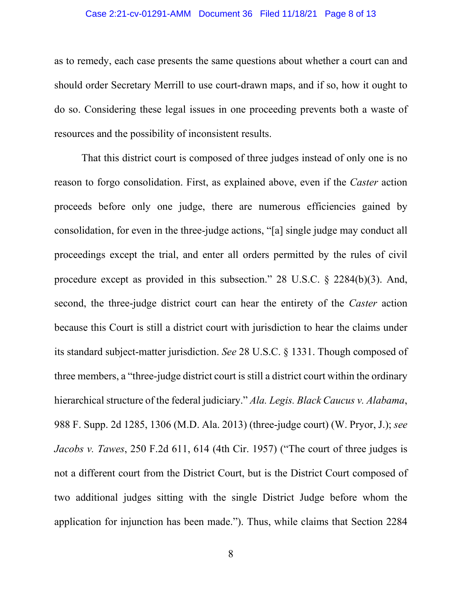#### Case 2:21-cv-01291-AMM Document 36 Filed 11/18/21 Page 8 of 13

as to remedy, each case presents the same questions about whether a court can and should order Secretary Merrill to use court-drawn maps, and if so, how it ought to do so. Considering these legal issues in one proceeding prevents both a waste of resources and the possibility of inconsistent results.

That this district court is composed of three judges instead of only one is no reason to forgo consolidation. First, as explained above, even if the *Caster* action proceeds before only one judge, there are numerous efficiencies gained by consolidation, for even in the three-judge actions, "[a] single judge may conduct all proceedings except the trial, and enter all orders permitted by the rules of civil procedure except as provided in this subsection." 28 U.S.C. § 2284(b)(3). And, second, the three-judge district court can hear the entirety of the *Caster* action because this Court is still a district court with jurisdiction to hear the claims under its standard subject-matter jurisdiction. *See* 28 U.S.C. § 1331. Though composed of three members, a "three-judge district court is still a district court within the ordinary hierarchical structure of the federal judiciary." *Ala. Legis. Black Caucus v. Alabama*, 988 F. Supp. 2d 1285, 1306 (M.D. Ala. 2013) (three-judge court) (W. Pryor, J.); *see Jacobs v. Tawes*, 250 F.2d 611, 614 (4th Cir. 1957) ("The court of three judges is not a different court from the District Court, but is the District Court composed of two additional judges sitting with the single District Judge before whom the application for injunction has been made."). Thus, while claims that Section 2284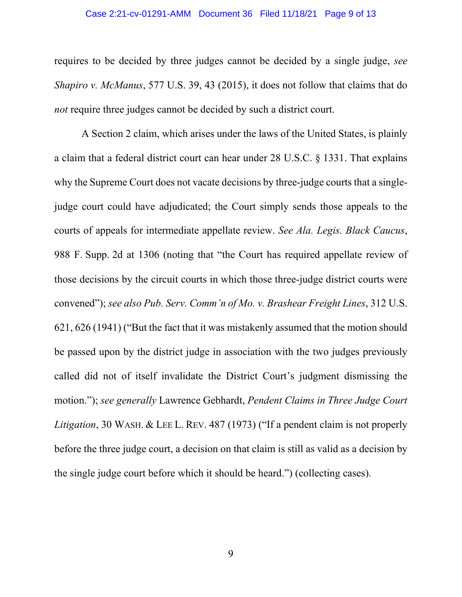#### Case 2:21-cv-01291-AMM Document 36 Filed 11/18/21 Page 9 of 13

requires to be decided by three judges cannot be decided by a single judge, *see Shapiro v. McManus*, 577 U.S. 39, 43 (2015), it does not follow that claims that do *not* require three judges cannot be decided by such a district court.

A Section 2 claim, which arises under the laws of the United States, is plainly a claim that a federal district court can hear under 28 U.S.C. § 1331. That explains why the Supreme Court does not vacate decisions by three-judge courts that a singlejudge court could have adjudicated; the Court simply sends those appeals to the courts of appeals for intermediate appellate review. *See Ala. Legis. Black Caucus*, 988 F. Supp. 2d at 1306 (noting that "the Court has required appellate review of those decisions by the circuit courts in which those three-judge district courts were convened"); *see also Pub. Serv. Comm'n of Mo. v. Brashear Freight Lines*, 312 U.S. 621, 626 (1941) ("But the fact that it was mistakenly assumed that the motion should be passed upon by the district judge in association with the two judges previously called did not of itself invalidate the District Court's judgment dismissing the motion."); *see generally* Lawrence Gebhardt, *Pendent Claims in Three Judge Court Litigation*, 30 WASH. & LEE L. REV. 487 (1973) ("If a pendent claim is not properly before the three judge court, a decision on that claim is still as valid as a decision by the single judge court before which it should be heard.") (collecting cases).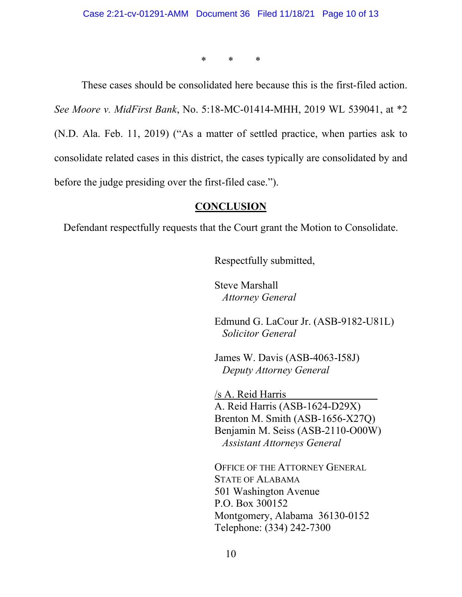\* \* \*

These cases should be consolidated here because this is the first-filed action. *See Moore v. MidFirst Bank*, No. 5:18-MC-01414-MHH, 2019 WL 539041, at \*2 (N.D. Ala. Feb. 11, 2019) ("As a matter of settled practice, when parties ask to consolidate related cases in this district, the cases typically are consolidated by and before the judge presiding over the first-filed case.").

### **CONCLUSION**

Defendant respectfully requests that the Court grant the Motion to Consolidate.

Respectfully submitted,

Steve Marshall *Attorney General*

Edmund G. LaCour Jr. (ASB-9182-U81L) *Solicitor General* 

James W. Davis (ASB-4063-I58J) *Deputy Attorney General* 

/s A. Reid Harris A. Reid Harris (ASB-1624-D29X) Brenton M. Smith (ASB-1656-X27Q) Benjamin M. Seiss (ASB-2110-O00W)  *Assistant Attorneys General*

OFFICE OF THE ATTORNEY GENERAL STATE OF ALABAMA 501 Washington Avenue P.O. Box 300152 Montgomery, Alabama 36130-0152 Telephone: (334) 242-7300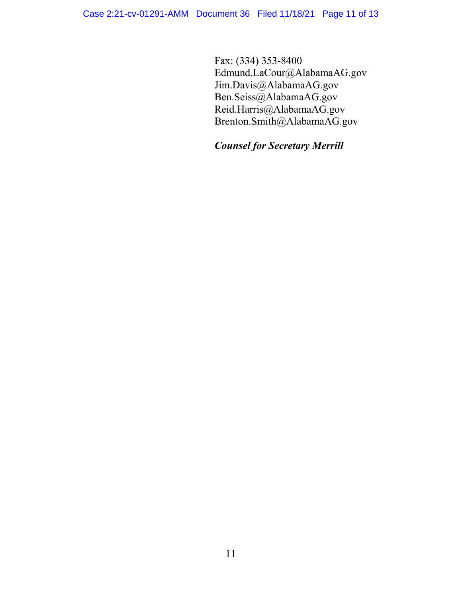Fax: (334) 353-8400 Edmund.LaCour@AlabamaAG.gov Jim.Davis@AlabamaAG.gov Ben.Seiss@AlabamaAG.gov Reid.Harris@AlabamaAG.gov Brenton.Smith@AlabamaAG.gov

# *Counsel for Secretary Merrill*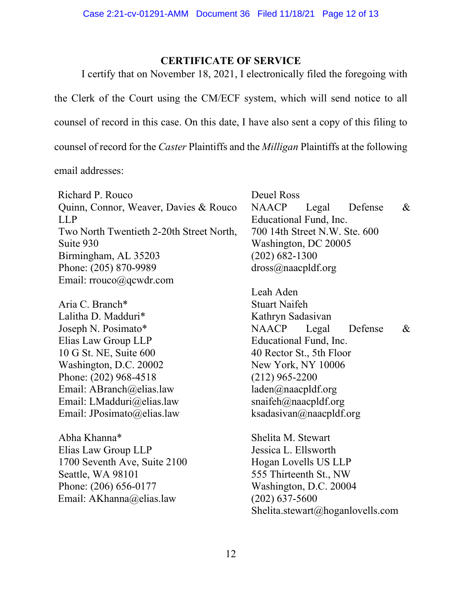## **CERTIFICATE OF SERVICE**

I certify that on November 18, 2021, I electronically filed the foregoing with the Clerk of the Court using the CM/ECF system, which will send notice to all counsel of record in this case. On this date, I have also sent a copy of this filing to counsel of record for the *Caster* Plaintiffs and the *Milligan* Plaintiffs at the following

email addresses:

Richard P. Rouco Quinn, Connor, Weaver, Davies & Rouco LLP Two North Twentieth 2-20th Street North, Suite 930 Birmingham, AL 35203 Phone: (205) 870-9989 Email: rrouco@qcwdr.com

Aria C. Branch\* Lalitha D. Madduri\* Joseph N. Posimato\* Elias Law Group LLP 10 G St. NE, Suite 600 Washington, D.C. 20002 Phone: (202) 968-4518 Email: ABranch@elias.law Email: LMadduri@elias.law Email: JPosimato@elias.law

Abha Khanna\* Elias Law Group LLP 1700 Seventh Ave, Suite 2100 Seattle, WA 98101 Phone: (206) 656-0177 Email: AKhanna@elias.law

Deuel Ross NAACP Legal Defense & Educational Fund, Inc. 700 14th Street N.W. Ste. 600 Washington, DC 20005 (202) 682-1300 dross@naacpldf.org

Leah Aden Stuart Naifeh Kathryn Sadasivan NAACP Legal Defense & Educational Fund, Inc. 40 Rector St., 5th Floor New York, NY 10006 (212) 965-2200 laden@naacpldf.org snaifeh@naacpldf.org ksadasivan@naacpldf.org

Shelita M. Stewart Jessica L. Ellsworth Hogan Lovells US LLP 555 Thirteenth St., NW Washington, D.C. 20004 (202) 637-5600 Shelita.stewart@hoganlovells.com